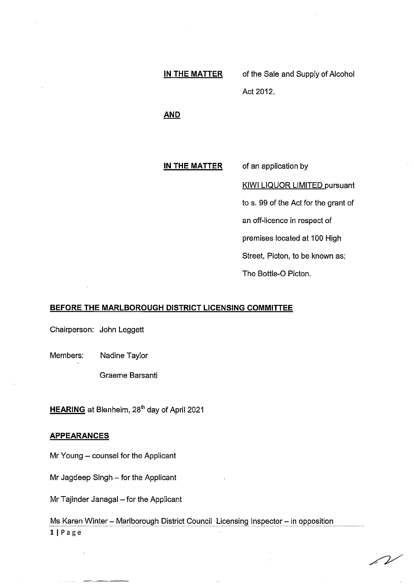# **IN THE MATTER**  of the Sale and Supply of Alcohol Act 2012.

**AND** 

#### **IN THE MATTER**  of an application by

KIWI LIQUOR LIMITED pursuant

to s. 99 of the Act for the grant of

an off-licence in respect of

premises located at 100 High

Street, Picton, to be known as;

The Bottle-0 Picton.

# **BEFORE THE MARLBOROUGH DISTRICT LICENSING COMMITTEE**

Chairperson: John Leggett

Members: Nadine Taylor

Graeme Barsanti

**<u>HEARING</u>** at Blenheim, 28<sup>th</sup> day of April 2021

### **APPEARANCES**

Mr Young - counsel for the Applicant

Mr Jagdeep Singh - for the Applicant

Mr Tajinder Janagal - for the Applicant

Ms Karen Winter - Marlborough District Council Licensing Inspector - in opposition llPage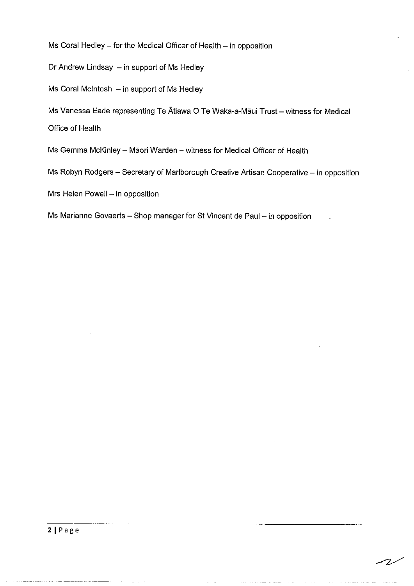Ms Coral Hedley  $-$  for the Medical Officer of Health  $-$  in opposition

Dr Andrew Lindsay - in support of Ms Hedley

 $Ms$  Coral McIntosh  $-$  in support of Ms Hedley

Ms Vanessa Eade representing Te Atiawa O Te Waka-a-Māui Trust - witness for Medical Office of Health

Ms Gemma McKinley - Māori Warden - witness for Medical Officer of Health

Ms Robyn Rodgers - Secretary of Marlborough Creative Artisan Cooperative - in opposition

 $Mrs$  Helen Powell  $-$  in opposition

Ms Marianne Govaerts - Shop manager for St Vincent de Paul - in opposition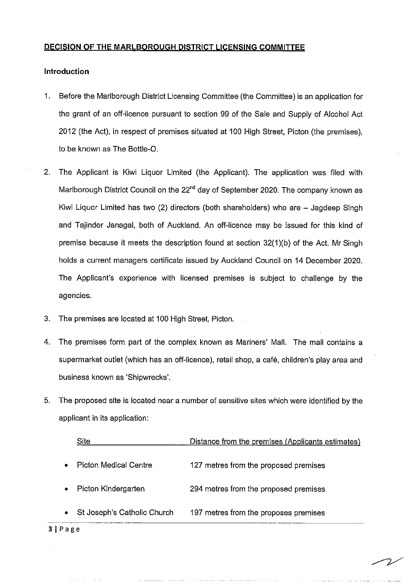# **DECISION OF THE MARLBOROUGH DISTRICT LICENSING COMMITTEE**

# **Introduction**

- 1. Before the Marlborough District Licensing Committee (the Committee) is an application for the grant of an off-licence pursuant to section 99 of the Sale and Supply of Alcohol Act 2012 (the Act), in respect of premises situated at 100 High Street, Picton (the premises), to be known as The Bottle-0.
- 2. The Applicant is Kiwi Liquor Limited (the Applicant). The application was filed with Marlborough District Council on the 22<sup>nd</sup> day of September 2020. The company known as Kiwi Liquor Limited has two (2) directors (both shareholders) who are - Jagdeep Singh and Tajinder Janagal, both of Auckland. An off-licence may be issued for this kind of premise because it meets the description found at section 32(1)(b) of the Act. Mr Singh holds a current managers certificate issued by Auckland Council on 14 December 2020. The Applicant's experience with licensed premises is subject to challenge by the agencies.
- 3. The premises are located at 100 High Street, Picton.
- 4. The premises form part of the complex known as Mariners' Mall. The mall contains a supermarket outlet (which has an off-licence), retail shop, a cafe, children's play area and business known as 'Shipwrecks'.
- 5. The proposed site is located near a number of sensitive sites which were identified by the applicant in its application:

|           | Site                        | Distance from the premises (Applicants estimates) |
|-----------|-----------------------------|---------------------------------------------------|
| $\bullet$ | Picton Medical Centre       | 127 metres from the proposed premises             |
| $\bullet$ | Picton Kindergarten         | 294 metres from the proposed premises             |
| $\bullet$ | St Joseph's Catholic Church | 197 metres from the proposes premises             |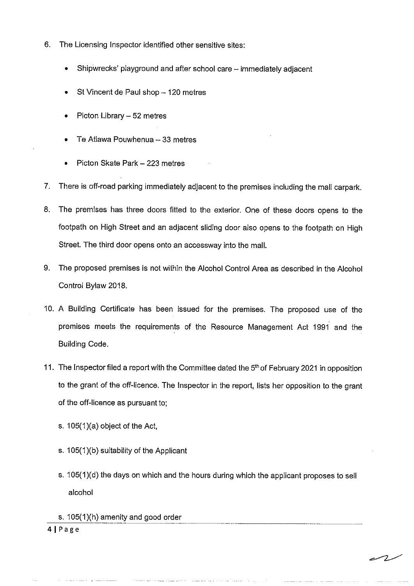- 6. The Licensing Inspector identified other sensitive sites:
	- Shipwrecks' playground and after school care immediately adjacent
	- St Vincent de Paul shop 120 metres
	- Picton Library 52 metres
	- Te Atiawa Pouwhenua  $-33$  metres
	- Picton Skate Park 223 metres
- 7. There is off-road parking immediately adjacent to the premises including the mall carpark.
- 8. The premises has three doors fitted to the exterior. One of these doors opens to the footpath on High Street and an adjacent sliding door also opens to the footpath on High Street. The third door opens onto an accessway into the mall.
- 9. The proposed premises is not within the Alcohol Control Area as described in the Alcohol Control Bylaw 2018.
- 10. A Building Certificate has been issued for the premises. The proposed use of the premises meets the requirements of the Resource Management Act 1991 and the Building Code.
- 11. The Inspector filed a report with the Committee dated the 5<sup>th</sup> of February 2021 in opposition to the grant of the off-licence. The Inspector in the report, lists her opposition to the grant of the off-licence as pursuant to;
	- s. 105(1 )(a) object of the Act,
	- s. 105(1 )(b) suitability of the Applicant
	- s. 105(1)(d) the days on which and the hours during which the applicant proposes to sell alcohol

s. 105(1)(h) amenity and good order ··-··-·· ·----------------- 41Page

 $-2$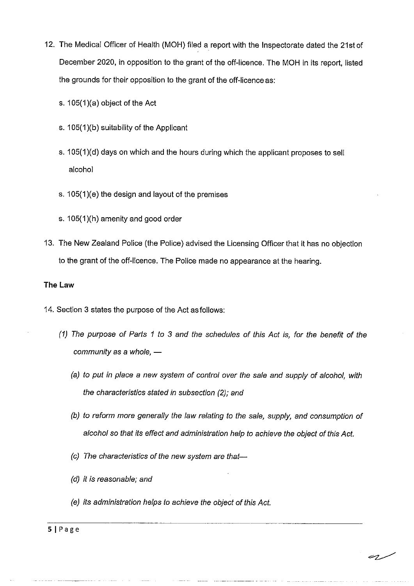- 12. The Medical Officer of Health (MOH) filed a report with the Inspectorate dated the 21st of December 2020, in opposition to the grant of the off-licence. The MOH in its report, listed the grounds for their opposition to the grant of the off-licence as:
	- s. 105(1 )(a) object of the Act
	- s. 105(1)(b) suitability of the Applicant
	- s. 105(1)(d) days on which and the hours during which the applicant proposes to sell alcohol
	- s. 105(1)(e) the design and layout of the premises
	- s. 105(1 )(h) amenity and good order
- 13. The New Zealand Police (the Police) advised the Licensing Officer that it has no objection to the grant of the off-licence. The Police made no appearance at the hearing.

# **The Law**

- 14. Section 3 states the purpose of the Act as follows:
	- (1) The purpose of Parts 1 to 3 and the schedules of this Act is, for the benefit of the community as a whole,  $-$ 
		- (a) to put in place a new system of control over the sale and supply of alcohol, with the characteristics stated in subsection (2); and
		- (b) to reform more generally the law relating to the sale, supply, and consumption of alcohol so that its effect and administration help to achieve the object of this Act.
		- (c) The characteristics of the new system are that-
		- (d) it is reasonable; and
		- (e) its administration helps to achieve the object of this Act.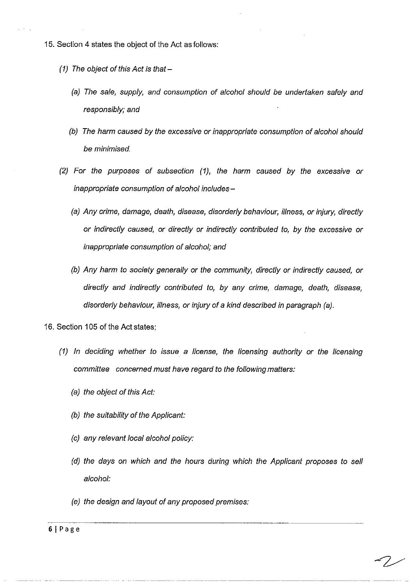- 15. Section 4 states the object of the Act as follows:
	- (1) The object of this Act is that  $-$ 
		- (a) The sale, supply, and consumption of alcohol should be undertaken safely and responsibly; and
		- (b) The harm caused by the excessive or inappropriate consumption of alcohol should be minimised.
	- (2) For the purposes of subsection (1), the harm caused by the excessive or inappropriate consumption of alcohol includes-
		- (a) Any crime, damage, death, disease, disorderly behaviour, illness, or injury, directly or indirectly caused, or directly or indirectly contributed to, by the excessive or inappropriate consumption of alcohol; and
		- (b) Any harm to society generally or the community, directly or indirectly caused, or directly and indirectly contributed to, by any crime, damage, death, disease, disorderly behaviour, illness, or injury of a kind described in paragraph (a).
- 16. Section 105 of the Act states;
	- (1) In deciding whether to issue a license, the licensing authority or the licensing committee concerned must have regard to the following matters:
		- (a) the object of this Act:
		- (b) the suitability of the Applicant:
		- (c) any relevant local alcohol policy:
		- (d) the days on which and the hours during which the Applicant proposes to sell alcohol:
		- (e) the design and layout of any proposed premises: -------------~ ---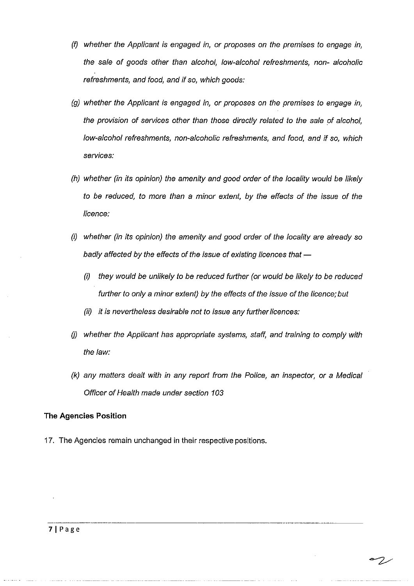- (f) whether the Applicant is engaged in, or proposes on the premises to engage in, the sale of goods other than alcohol, low-alcohol refreshments, non- alcoholic refreshments, and food, and if so, which goods:
- (g) whether the Applicant is engaged in, or proposes on the premises to engage in, the provision of services other than those directly related to the sale of alcohol, low-alcohol refreshments, non-alcoholic refreshments, and food, and if so, which services:
- (h) whether (in its opinion) the amenity and good order of the locality would be likely to be reduced, to more than a minor extent, by the effects of the issue of the licence:
- (i) whether (in its opinion) the amenity and good order of the locality are already so badly affected by the effects of the issue of existing licences that  $-$ 
	- (i) they would be unlikely to be reduced further (or would be likely to be reduced further to only a minor extent) by the effects of the issue of the licence; but
	- (ii) it is nevertheless desirable not to issue any further licences:
- $(j)$  whether the Applicant has appropriate systems, staff, and training to comply with the law:
- (k) any matters dealt with in any report from the Police, an inspector, or a Medical Officer of Health made under section 103

-~---------------· ----

# **The Agencies Position**

17. The Agencies remain unchanged in their respective positions.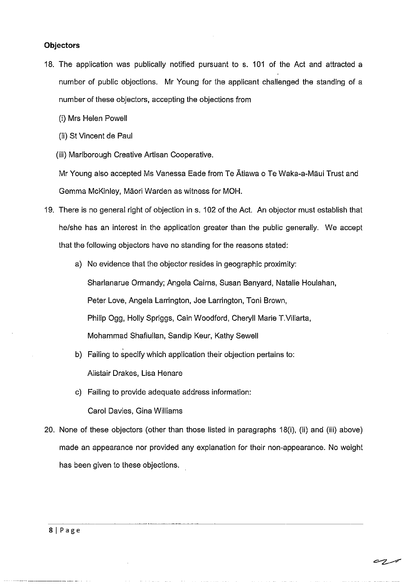#### **Objectors**

- 18. The application was publically notified pursuant to s. 101 of the Act and attracted a number of public objections. Mr Young for the applicant challenged the standing of a number of these objectors, accepting the objections from
	- (i) Mrs Helen Powell
	- (ii) St Vincent de Paul
	- (iii) Marlborough Creative Artisan Cooperative.

Mr Young also accepted Ms Vanessa Eade from Te Atiawa o Te Waka-a-Maui Trust and Gemma McKinley, Maori Warden as witness for MOH.

- 19. There is no general right of objection in s. 102 of the Act. An objector must establish that he/she has an interest in the application greater than the public generally. We accept that the following objectors have no standing for the reasons stated:
	- a) No evidence that the objector resides in geographic proximity: Sharlanarue Ormandy; Angela Cairns, Susan Banyard, Natalie Houlahan, Peter Love, Angela Larrington, Joe Larrington, Toni Brown, Philip Ogg, Holly Spriggs, Cain Woodford, Cheryll Marie T.Villarta, Mohammad Shafiullan, Sandip Keur, Kathy Sewell
	- b) Failing *to* specify which application their objection pertains to: Alistair Drakes, Lisa Henare
	- c) Failing to provide adequate address information: Carol Davies, Gina Williams
- 20. None of these objectors (other than those listed in paragraphs 18(i), (ii) and (iii) above) made an appearance nor provided any explanation for their non-appearance. No weight has been given *to* these objections.

C 7.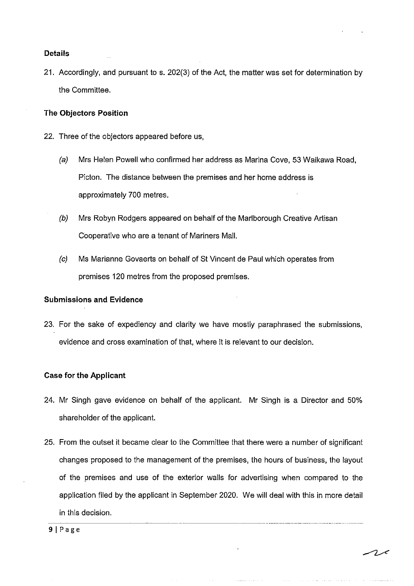#### **Details**

21. Accordingly, and pursuant to s. 202(3) of the Act, the matter was set for determination by the Committee.

# **The Objectors Position**

- 22. Three of the objectors appeared before us,
	- (a) Mrs Helen Powell who confirmed her address as Marina Cove, 53 Waikawa Road, Picton. The distance between the premises and her home address is approximately 700 metres.
	- (b) Mrs Robyn Rodgers appeared on behalf of the Marlborough Creative Artisan Cooperative who are a tenant of Mariners Mall.
	- (c) Ms Marianne Govaerts on behalf of St Vincent de Paul which operates from premises 120 metres from the proposed premises.

#### **Submissions and Evidence**

23. For the sake of expediency and clarity we have mostly paraphrased the submissions, evidence and cross examination of that, where it is relevant to our decision.

# **Case for the Applicant**

- 24. Mr Singh gave evidence on behalf of the applicant. Mr Singh is a Director and 50% shareholder of the applicant.
- 25. From the outset it became clear to the Committee that there were a number of significant changes proposed to the management of the premises, the hours of business, the layout of the premises and use of the exterior walls for advertising when compared to the application filed by the applicant in September 2020. We will deal with this in more detail in this decision. -------~ ---·----·----------------···----~

التواصل التقارب الالتار المدار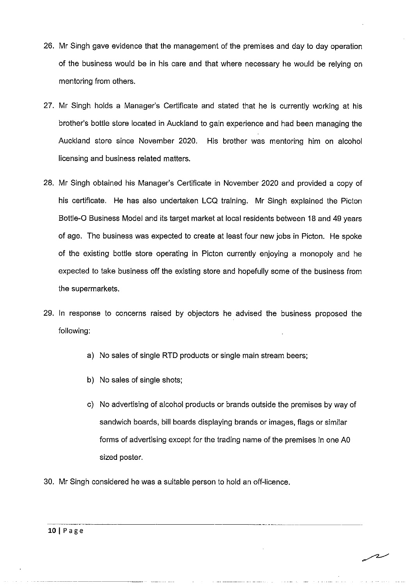- 26. Mr Singh gave evidence that the management of the premises and day to day operation of the business would be in his care and that where necessary he would be relying on mentoring from others.
- 27. Mr Singh holds a Manager's Certificate and stated that he is currently working at his brother's bottle store located in Auckland to gain experience and had been managing the Auckland store since November 2020. His brother was mentoring him on alcohol licensing and business related matters.
- 28. Mr Singh obtained his Manager's Certificate in November 2020 and provided a copy of his certificate. He has also undertaken LCQ training. Mr Singh explained the Picton Bottle-0 Business Model and its target market at local residents between 18 and 49 years of age. The business was expected to create at least four new jobs in Picton. He spoke of the existing bottle store operating in Picton currently enjoying a monopoly and he expected to take business off the existing store and hopefully some of the business from the supermarkets.
- 29. In response to concerns raised by objectors he advised the business proposed the following:
	- a) No sales of single RTD products or single main stream beers;
	- b) No sales of single shots;
	- c) No advertising of alcohol products or brands outside the premises by way of sandwich boards, bill boards displaying brands or images, flags or similar forms of advertising except for the trading name of the premises in one AO sized poster.
- 30. Mr Singh considered he was a suitable person to hold an off-licence.

سدسر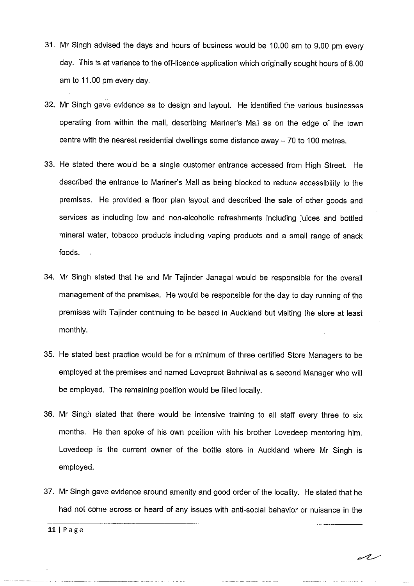- 31. Mr Singh advised the days and hours of business would be 10.00 am to 9.00 pm every day. This is at variance to the off-licence application which originally sought hours of 8.00 am to 11.00 pm every day.
- 32. Mr Singh gave evidence as to design and layout. He identified the various businesses operating from within the mall, describing Mariner's Mall as on the edge of the town centre with the nearest residential dwellings some distance away  $-70$  to 100 metres.
- 33. He stated there would be a single customer entrance accessed from High Street. He described the entrance to Mariner's Mall as being blocked to reduce accessibility to the premises. He provided a floor plan layout and described the sale of other goods and services as including low and non-alcoholic refreshments including juices and bottled mineral water, tobacco products including vaping products and a small range of snack foods.
- 34. Mr Singh stated that he and Mr Tajinder Janagal would be responsible for the overall management of the premises. He would be responsible for the day to day running of the premises with Tajinder continuing to be based in Auckland but visiting the store at least monthly.
- 35. He stated best practice would be for a minimum of three certified Store Managers to be employed at the premises and named Lovepreet Behniwal as a second Manager who will be employed. The remaining position would be filled locally.
- 36. Mr Singh stated that there would be intensive training *to* all staff every three *to* six months. He then spoke of his own position with his brother Lovedeep mentoring him. Lovedeep is the current owner of the bottle store in Auckland where Mr Singh is employed.
- 37. Mr Singh gave evidence around amenity and good order of the locality. He stated that he had not come across or heard of any issues with anti-social behavior or nuisance in the

11 | Page

al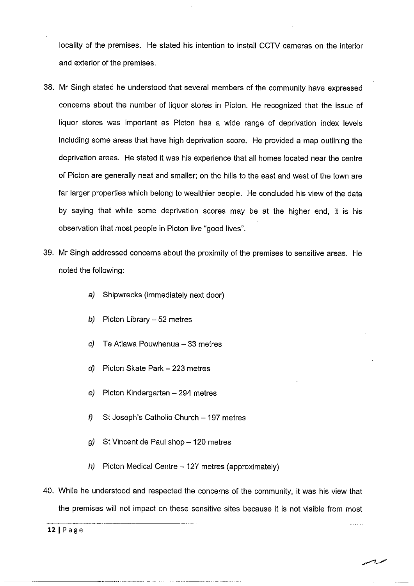locality of the premises. He stated his intention to install CCTV cameras on the interior and exterior of the premises.

- 38. Mr Singh stated he understood that several members of the community have expressed concerns about the number of liquor stores in Picton. He recognized that the issue of liquor stores was important as Picton has a wide range of deprivation index levels including some areas that have high deprivation score. He provided a map outlining the deprivation areas. He stated it was his experience that all homes located near the centre of Picton are generally neat and smaller; on the hills to the east and west of the town are far larger properties which belong to wealthier people. He concluded his view of the data by saying that while some deprivation scores may be at the higher end, it is his observation that most people in Picton live "good lives".
- 39. Mr Singh addressed concerns about the proximity of the premises to sensitive areas. He noted the following:
	- a) Shipwrecks (immediately next door)
	- b) Picton Library  $-52$  metres
	- $c)$  Te Atiawa Pouwhenua 33 metres
	- $d)$  Picton Skate Park 223 metres
	- $e$ ) Picton Kindergarten 294 metres
	- f) St Joseph's Catholic Church  $-$  197 metres
	- g) St Vincent de Paul shop  $-120$  metres
	- h) Picton Medical Centre  $-127$  metres (approximately)
- 40. While he understood and respected the concerns of the community, it was his view that the premises will not impact on these sensitive sites because it is not visible from most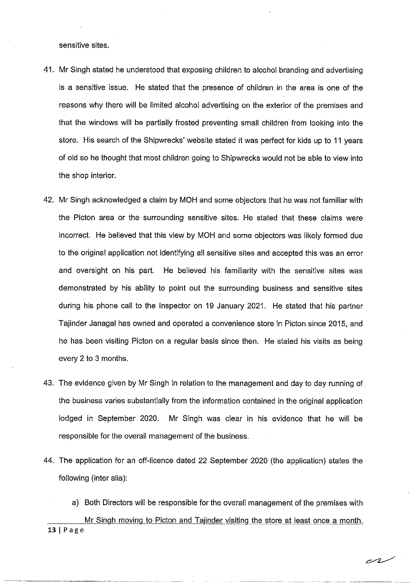sensitive sites.

- 41. Mr Singh stated he understood that exposing children to alcohol branding and advertising is a sensitive issue. He stated that the presence of children in the area is one of the reasons why there will be limited alcohol advertising on the exterior of the premises and that the windows will be partially frosted preventing small children from looking into the store. His search of the Shipwrecks' website stated it was perfect for kids up to 11 years of old so he thought that most children going to Shipwrecks would not be able to view into the shop interior.
- 42. Mr Singh acknowledged a claim by MOH and some objectors that he was not familiar with the Picton area or the surrounding sensitive sites. He stated that these claims were incorrect. He believed that this view by MOH and some objectors was likely formed due to the original application not identifying all sensitive sites and accepted this was an error and oversight on his part. He believed his familiarity with the sensitive sites was demonstrated by his ability to point out the surrounding business and sensitive sites during his phone call to the Inspector on 19 January 2021. He stated that his partner Tajinder Janagal has owned and operated a convenience store in Picton since 2015, and he has been visiting Picton on a regular basis since then. He stated his visits as being every 2 to 3 months.
- 43. The evidence given by Mr Singh in relation to the management and day to day running of the business varies substantially from the information contained in the original application lodged in September 2020. Mr Singh was clear in his evidence that he will be responsible for the overall management of the business.
- 44. The application for an off-licence dated 22 September 2020 (the application) states the following (inter alia):

a) Both Directors will be responsible for the overall management of the premises with Mr Singh moving to Picton and Tajinder visiting the store at least once a month. 13 I Page

سمص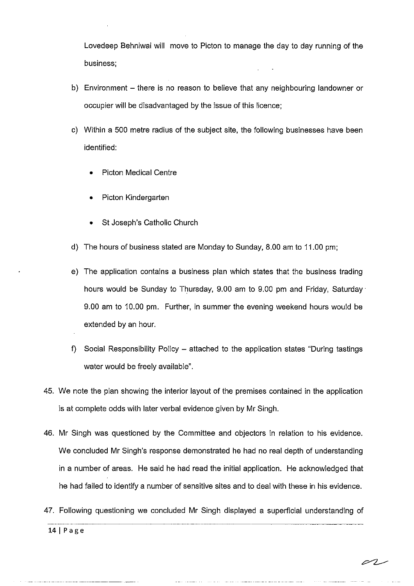Lovedeep Behniwai will move to Picton to manage the day to day running of the business;

- b) Environment there is no reason to believe that any neighbouring landowner or occupier will be disadvantaged by the issue of this licence;
- c) Within a 500 metre radius of the subject site, the following businesses have been identified:
	- Picton Medical Centre
	- Picton Kindergarten
	- St Joseph's Catholic Church
- d) The hours of business stated are Monday to Sunday, 8.00 am to 11.00 pm;
- e) The application contains a business plan which states that the business trading hours would be Sunday to Thursday, 9.00 am to 9.00 pm and Friday, Saturday· 9.00 am to 10.00 pm. Further, in summer the evening weekend hours would be extended by an hour.
- f) Social Responsibility Policy attached to the application states "During tastings water would be freely available".
- 45. We note the plan showing the interior layout of the premises contained in the application is at complete odds with later verbal evidence given by Mr Singh.
- 46. Mr Singh was questioned by the Committee and objectors in relation to his evidence. We concluded Mr Singh's response demonstrated he had no real depth of understanding in a number of areas. He said he had read the initial application. He acknowledged that he had failed to identify a number of sensitive sites and to deal with these in his evidence.
- 47. Following questioning we concluded Mr Singh displayed a superficial understanding of

-----··--·------------------~. 14 I Page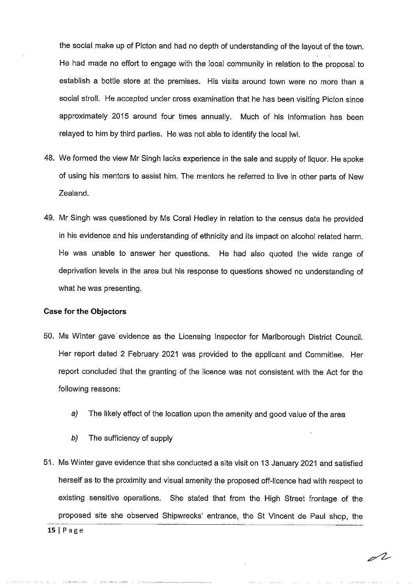the social make up of Picton and had no depth of understanding of the layout of the town. He had made no effort to engage with the local community in relation to the proposal to establish a bottle store at the premises. His visits around town were no more than a social stroll. He accepted under cross examination that he has been visiting Picton since approximately 2015 around four times annually. Much of his information has been relayed to him by third parties. He was not able to identify the local lwi.

- 48. We formed the view Mr Singh lacks experience in the sale and supply of liquor. He spoke of using his mentors to assist him. The mentors he referred to live in other parts of New Zealand.
- 49. Mr Singh was questioned by Ms Coral Hedley in relation to the census data he provided in his evidence and his understanding of ethnicity and its impact on alcohol related harm. He was unable to answer her questions. He had also quoted the wide range of deprivation levels in the area but his response to questions showed no understanding of what he was presenting.

#### **Case for the Objectors**

- 50. Ms Winter gave evidence as the Licensing Inspector for Marlborough District Council. Her report dated 2 February 2021 was provided to the applicant and Committee. Her report concluded that the granting of the licence was not consistent with the Act for the following reasons:
	- a) The likely effect of the location upon the amenity and good value of the area
	- b) The sufficiency of supply
- 51. Ms Winter gave evidence that she conducted a site visit on 13 January 2021 and satisfied herself as to the proximity and visual amenity the proposed off-licence had with respect to existing sensitive operations. She stated that from the High Street frontage of the proposed site she observed Shipwrecks' entrance, the St Vincent de Paul shop, the

 $15$ | Page

 $\mathscr{L}$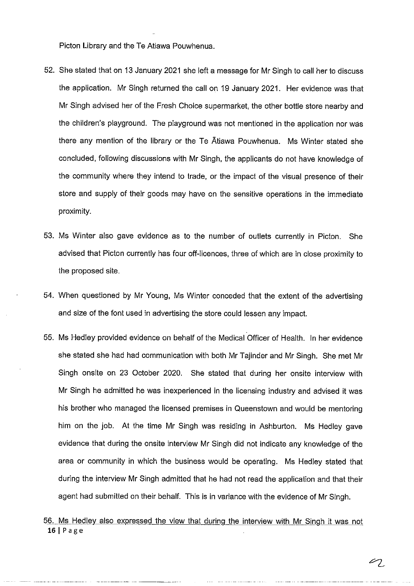Picton Library and the Te Atiawa Pouwhenua.

- 52. She stated that on 13 January 2021 she left a message for Mr Singh to call her to discuss the application. Mr Singh returned the call on 19 January 2021. Her evidence was that Mr Singh advised her of the Fresh Choice supermarket, the other bottle store nearby and the children's playground. The playground was not mentioned in the application nor was there any mention of the library or the Te Atiawa Pouwhenua. Ms Winter stated she concluded, following discussions with Mr Singh, the applicants do not have knowledge of the community where they intend to trade, or the impact of the visual presence of their store and supply of their goods may have on the sensitive operations in the immediate proximity.
- 53. Ms Winter also gave evidence as to the number of outlets currently in Picton. She advised that Picton currently has four off-licences, three of which are in close proximity to the proposed site.
- 54. When questioned by Mr Young, Ms Winter conceded that the extent of the advertising and size of the font used in advertising the store could lessen any impact.
- 55. Ms Hedley provided evidence on behalf of the Medical Officer of Health. In her evidence she stated she had had communication with both Mr Tajinder and Mr Singh. She met Mr Singh onsite on 23 October 2020. She stated that during her onsite interview with Mr Singh he admitted he was inexperienced in the licensing industry and advised it was his brother who managed the licensed premises in Queenstown and would be mentoring him on the job. At the time Mr Singh was residing in Ashburton. Ms Hedley gave evidence that during the onsite interview Mr Singh did not indicate any knowledge of the area or community in which the business would be operating. Ms Hedley stated that during the interview Mr Singh admitted that he had not read the application and that their agent had submitted on their behalf. This is in variance with the evidence of Mr Singh.
- 56. Ms Hedley also expressed the view that during the interview with Mr Singh it was not  $16$ | Page

 $\mathscr{L}_{2}$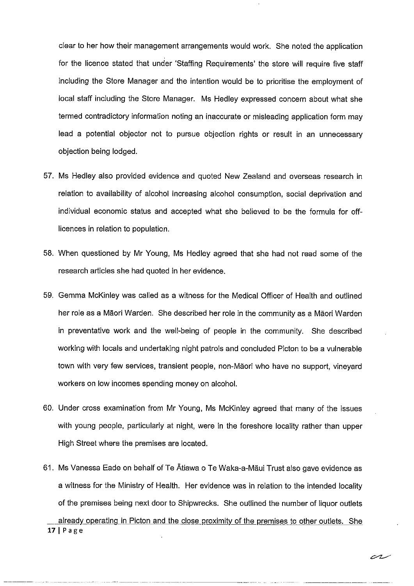clear to her how their management arrangements would work. She noted the application for the licence stated that under 'Staffing Requirements' the store will require five staff including the Store Manager and the intention would be to prioritise the employment of local staff including the Store Manager. Ms Hedley expressed concern about what she termed contradictory information noting an inaccurate or misleading application form may lead a potential objector not to pursue objection rights or result in an unnecessary objection being lodged.

- 57. Ms Hedley also provided evidence and quoted New Zealand and overseas research in relation to availability of alcohol increasing alcohol consumption, social deprivation and individual economic status and accepted what she believed to be the formula for offlicences in relation to population.
- 58. When questioned by Mr Young, Ms Hedley agreed that she had not read some of the research articles she had quoted in her evidence.
- 59. Gemma McKinley was called as a witness for the Medical Officer of Health and outlined her role as a Maori Warden. She described her role in the community as a Maori Warden in preventative work and the well-being of people in the community. She described working with locals and undertaking night patrols and concluded Picton to be a vulnerable town with very few services, transient people, non-Maori who have no support, vineyard workers on low incomes spending money on alcohol.
- 60. Under cross examination from Mr Young, Ms McKinley agreed that many of the issues with young people, particularly at night, were in the foreshore locality rather than upper High Street where the premises are located.
- 61. Ms Vanessa Eade on behalf of Te Atiawa o Te Waka-a-Maui Trust also gave evidence as a witness for the Ministry of Health. Her evidence was in relation to the intended locality of the premises being next door to Shipwrecks. She outlined the number of liquor outlets already operating in Picton and the close proximity of the premises to other outlets. She 17 | Page

cr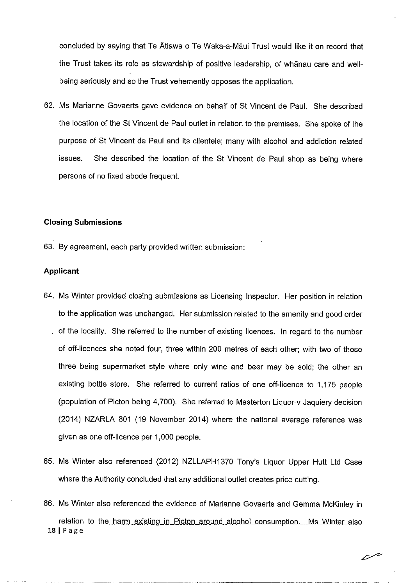concluded by saying that Te Atiawa o Te Waka-a-Maui Trust would like it on record that the Trust takes its role as stewardship of positive leadership, of whanau care and wellbeing seriously and so the Trust vehemently opposes the application.

62. Ms Marianne Govaerts gave evidence on behalf of St Vincent de Paul. She described the location of the St Vincent de Paul outlet in relation to the premises. She spoke of the purpose of St Vincent de Paul and its clientele; many with alcohol and addiction related issues. She described the location of the St Vincent de Paul shop as being where persons of no fixed abode frequent.

# **Closing Submissions**

63. By agreement, each party provided written submission:

# **Applicant**

- 64. Ms Winter provided closing submissions as Licensing Inspector. Her position in relation to the application was unchanged. Her submission related to the amenity and good order of the locality. She referred to the number of existing licences. In regard to the number of off-licences she noted four, three within 200 metres of each other; with two of these three being supermarket style where only wine and beer may be sold; the other an existing bottle store. She referred to current ratios of one off-licence to 1,175 people (population of Picton being 4,700). She referred to Masterton Liquor-v Jaquiery decision (2014) NZARLA 801 (19 November 2014) where the national average reference was given as one off-licence per 1,000 people.
- 65. Ms Winter also referenced (2012) NZLLAPH1370 Tony's Liquor Upper Hutt Ltd Case where the Authority concluded that any additional outlet creates price cutting.
- 66. Ms Winter also referenced the evidence of Marianne Govaerts and Gemma McKinley in relation to the harm existing in Picton around alcohol consumption. Ms Winter also 181Page

 $\mathbb{Z}^n$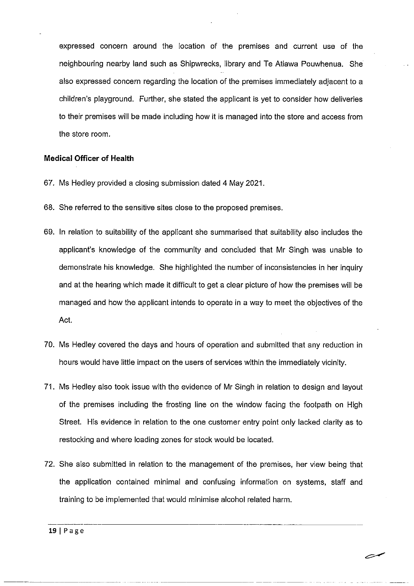expressed concern around the location of the premises and current use of the neighbouring nearby land such as Shipwrecks, library and Te Atiawa Pouwhenua. She also expressed concern regarding the location of the premises immediately adjacent to a children's playground. Further, she stated the applicant is yet to consider how deliveries to their premises will be made including how it is managed into the store and access from the store room.

### **Medical Officer of Health**

- 67. Ms Hedley provided a closing submission dated 4 May 2021.
- 68. She referred to the sensitive sites close to the proposed premises.
- 69. In relation to suitability of the applicant she summarised that suitability also includes the applicant's knowledge of the community and concluded that Mr Singh was unable to demonstrate his knowledge. She highlighted the number of inconsistencies in her inquiry and at the hearing which made it difficult to get a clear picture of how the premises will be managed and how the applicant intends to operate in a way to meet the objectives of the Act.
- 70. Ms Hedley covered the days and hours of operation and submitted that any reduction in hours would have little impact on the users of services within the immediately vicinity.
- 71. Ms Hedley also took issue with the evidence of Mr Singh in relation to design and layout of the premises including the frosting line on the window facing the footpath on High Street. His evidence in relation to the one customer entry point only lacked clarity as to restocking and where loading zones for stock would be located.
- 72. She also submitted in relation to the management of the premises, her view being that the application contained minimal and confusing information on systems, staff and training to be implemented that would minimise alcohol related harm.

ستصر

**19** I Page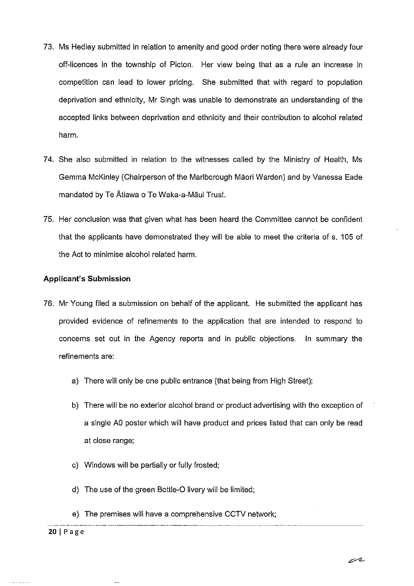- 73. Ms Hedley submitted in relation to amenity and good order noting there were already four off-licences in the township of Picton. Her view being that as a rule an increase in competition can lead to lower pricing. She submitted that with regard to population deprivation and ethnicity, Mr Singh was unable to demonstrate an understanding of the accepted links between deprivation and ethnicity and their contribution to alcohol related harm.
- 74. She also submitted in relation to the witnesses called by the Ministry of Health, Ms Gemma McKinley (Chairperson of the Marlborough Maori Warden) and by Vanessa Eade mandated by Te Atiawa o Te Waka-a-Maui Trust.
- 75. Her conclusion was that given what has been heard the Committee cannot be confident that the applicants have demonstrated they will be able to meet the criteria of s. 105 of the Act to minimise alcohol related harm.

### **Applicant's Submission**

- 76. Mr Young filed a submission on behalf of the applicant. He submitted the applicant has provided evidence of refinements to the application that are intended to respond to concerns set out in ihe Agency reports and in public objections. In summary the refinements are:
	- a) There will only be one public entrance (that being from High Street);
	- b) There will be no exterior alcohol brand or product advertising with the exception of a single AO poster which will have product and prices listed that can only be read at close range;
	- c) Windows will be partially or fully frosted;
	- d) The use of the green Bottle-0 livery will be limited;
	- e) The premises will have a comprehensive CCTV network;<br>
	20 LB 3.5.3.

#### **20** I Page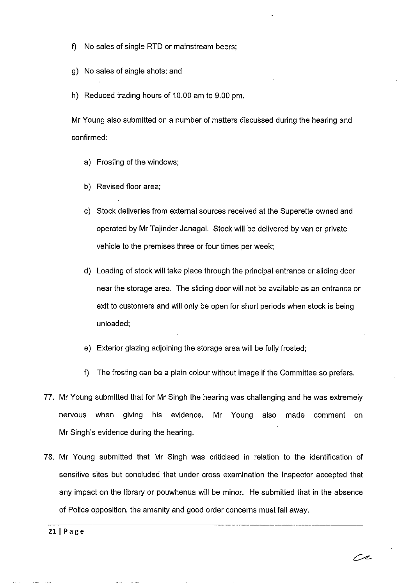- f) No sales of single RTD or mainstream beers;
- g) No sales of single shots; and
- h) Reduced trading hours of 10.00 am to 9.00 pm.

Mr Young also submitted on a number of matters discussed during the hearing and confirmed:

- a) Frosting of the windows;
- b) Revised floor area;
- c) Stock deliveries from external sources received at the Superette owned and operated by Mr Tajinder Janagal. Stock will be delivered by van or private vehicle to the premises three or four times per week;
- d) Loading of stock will take place through the principal entrance or sliding door near the storage area. The sliding door will not be available as an entrance or exit to customers and will only be open for short periods when stock is being unloaded;
- e) Exterior glazing adjoining the storage area will be fully frosted;
- f) The frosting can be a plain colour without image if the Committee so prefers.
- 77. Mr Young submitted that for Mr Singh the hearing was challenging and he was extremely nervous when giving his evidence. Mr Young also made comment on Mr Singh's evidence during the hearing.
- 78. Mr Young submitted that Mr Singh was criticised in relation to the identification of sensitive sites but concluded that under cross examination the Inspector accepted that any impact on the library or pouwhenua will be minor. He submitted that in the absence of Police opposition, the amenity and good order concerns must fall away.

Ox.

 $21$  | Page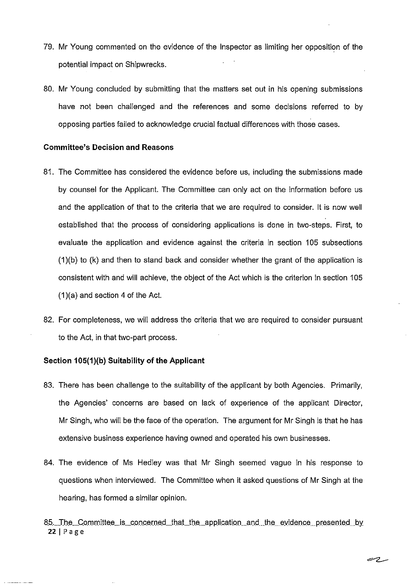- 79. Mr Young commented on the evidence of the Inspector as limiting her opposition of the potential impact on Shipwrecks.
- 80. Mr Young concluded by submitting that the matters set out in his opening submissions have not been challenged and the references and some decisions referred *to* by opposing parties failed *to* acknowledge crucial factual differences with those cases.

#### **Committee's Decision and Reasons**

- 81. The Committee has considered the evidence before us, including the submissions made by counsel for the Applicant. The Committee can only act on the information before us and the application of that to the criteria that we are required *to* consider. It is now well established that the process of considering applications is done in two-steps. First, to evaluate the application and evidence against the criteria in section 105 subsections (1)(b) to (k) and then *to* stand back and consider whether the grant of the application is consistent with and will achieve, the object of the Act which is the criterion in section 105  $(1)(a)$  and section 4 of the Act.
- 82. For completeness, we will address the criteria that we are required to consider pursuant *to* the Act, in that two-part process.

#### **Section 105(1)(b) Suitability of the Applicant**

- 83. There has been challenge *to* the suitability of the applicant by both Agencies. Primarily, the Agencies' concerns are based on lack of experience of the applicant Director, Mr Singh, who will be the face of the operation. The argument for Mr Singh is that he has extensive business experience having owned and operated his own businesses.
- 84. The evidence of Ms Hedley was that Mr Singh seemed vague in his response to questions when interviewed. The Committee when it asked questions of Mr Singh at the hearing, has formed a similar opinion.
- 85. The Committee is concerned that the application and the evidence presented by 22 I Page

سرح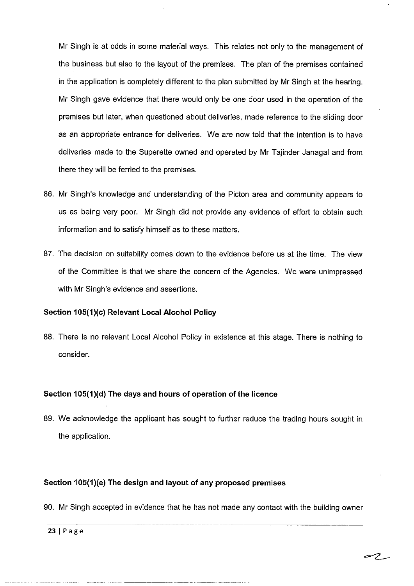Mr Singh is at odds in some material ways. This relates not only to the management of the business but also to the layout of the premises. The plan of the premises contained in the application is completely different to the plan submitted by Mr Singh at the hearing. Mr Singh gave evidence that there would only be one door used in the operation of the premises but later, when questioned about deliveries, made reference to the sliding door as an appropriate entrance for deliveries. We are now told that the intention is to have deliveries made to the Superette owned and operated by Mr Tajinder Janagal and from there they will be ferried *to* the premises.

- 86. Mr Singh's knowledge and understanding of the Picton area and community appears to us as being very poor. Mr Singh did not provide any evidence of effort to obtain such information and to satisfy himself as to these matters.
- 87. The decision on suitability comes down to the evidence before us at the time. The view of the Committee is that we share the concern of the Agencies. We were unimpressed with Mr Singh's evidence and assertions.

# **Section 105(1)(c) Relevant Local Alcohol Policy**

88. There is no relevant Local Alcohol Policy in existence at this stage. There is nothing to consider.

### **Section 105(1)(d) The days and hours of operation of the licence**

89. We acknowledge the applicant has sought to further reduce the trading hours sought in the application.

# **Section 105(1)(e) The design and layout of any proposed premises**

90. Mr Singh accepted in evidence that he has not made any contact with the building owner

ez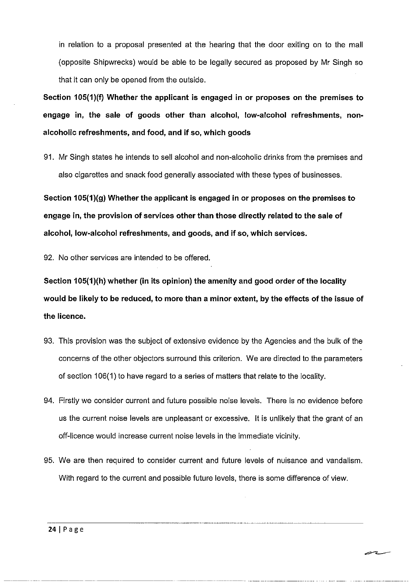in relation to a proposal presented at the hearing that the door exiting on to the mall ( opposite Shipwrecks) would be able to be legally secured as proposed by Mr Singh so that it can only be opened from the outside.

**Section 105(1 )(f) Whether the applicant is engaged in or proposes on the premises to engage in, the sale of goods other than alcohol, low-alcohol refreshments, nonalcoholic refreshments, and food, and if so, which goods** 

91. Mr Singh states he intends to sell alcohol and non-alcoholic drinks from the premises and also cigarettes and snack food generally associated with these types of businesses.

**Section 105(1)(g) Whether the applicant is engaged in or proposes on the premises to engage in, the provision of services other than those directly related to the sale of alcohol, low-alcohol refreshments, and goods, and if so, which services.** 

92. No other services are intended to be offered.

**Section 105(1 )(h) whether (in its opinion) the amenity and good order of the locality would be likely to be reduced, to more than a minor extent, by the effects of the issue of the licence.** 

- 93. This provision was the subject of extensive evidence by the Agencies and the bulk of the concerns of the other objectors surround this criterion. We are directed to the parameters of section 106(1) to have regard to a series of matters that relate to the locality.
- 94. Firstly we consider current and future possible noise levels. There is no evidence before us the current noise levels are unpleasant or excessive. It is unlikely that the grant of an off-licence would increase current noise levels in the immediate vicinity.
- 95. We are then required to consider current and future levels of nuisance and vandalism. With regard to the current and possible future levels, there is some difference of view.

سدس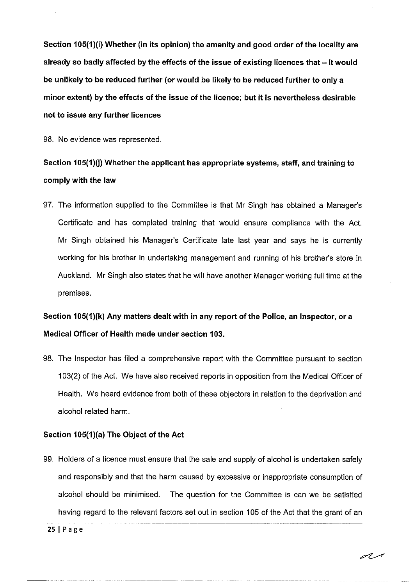**Section 105(1)(i) Whether (in its opinion) the amenity and good order of the locality are already so badly affected by the effects of the issue of existing licences that - It would be unlikely to be reduced further (or would be likely to be reduced further to only a minor extent) by the effects of the issue of the licence; but It is nevertheless desirable not to issue any further licences** 

96. No evidence was represented.

# **Section 105(1)(j) Whether the applicant has appropriate systems, staff, and training to comply with the law**

97. The information supplied to the Committee is that Mr Singh has obtained a Manager's Certificate and has completed training that would ensure compliance with the Act. Mr Singh obtained his Manager's Certificate late last year and says he is currently working for his brother in undertaking management and running of his brother's store in Auckland. Mr Singh also states that he will have another Manager working full time at the premises.

# **Section 105(1)(k) Any matters dealt with in any report of the Police, an Inspector, or a Medical Officer of Health made under section 103.**

98. The Inspector has filed a comprehensive report with the Committee pursuant to section 103(2) of the Act. We have also received reports in opposition from the Medical Officer of Health. We heard evidence from both of these objectors in relation to the deprivation and alcohol related harm.

#### **Section 105(1 )(a) The Object of the Act**

99. Holders of a licence must ensure that the sale and supply of alcohol is undertaken safely and responsibly and that the harm caused by excessive or inappropriate consumption of alcohol should be minimised. The question for the Committee is can we be satisfied having regard to the relevant factors set out in section 105 of the Act that the grant of an